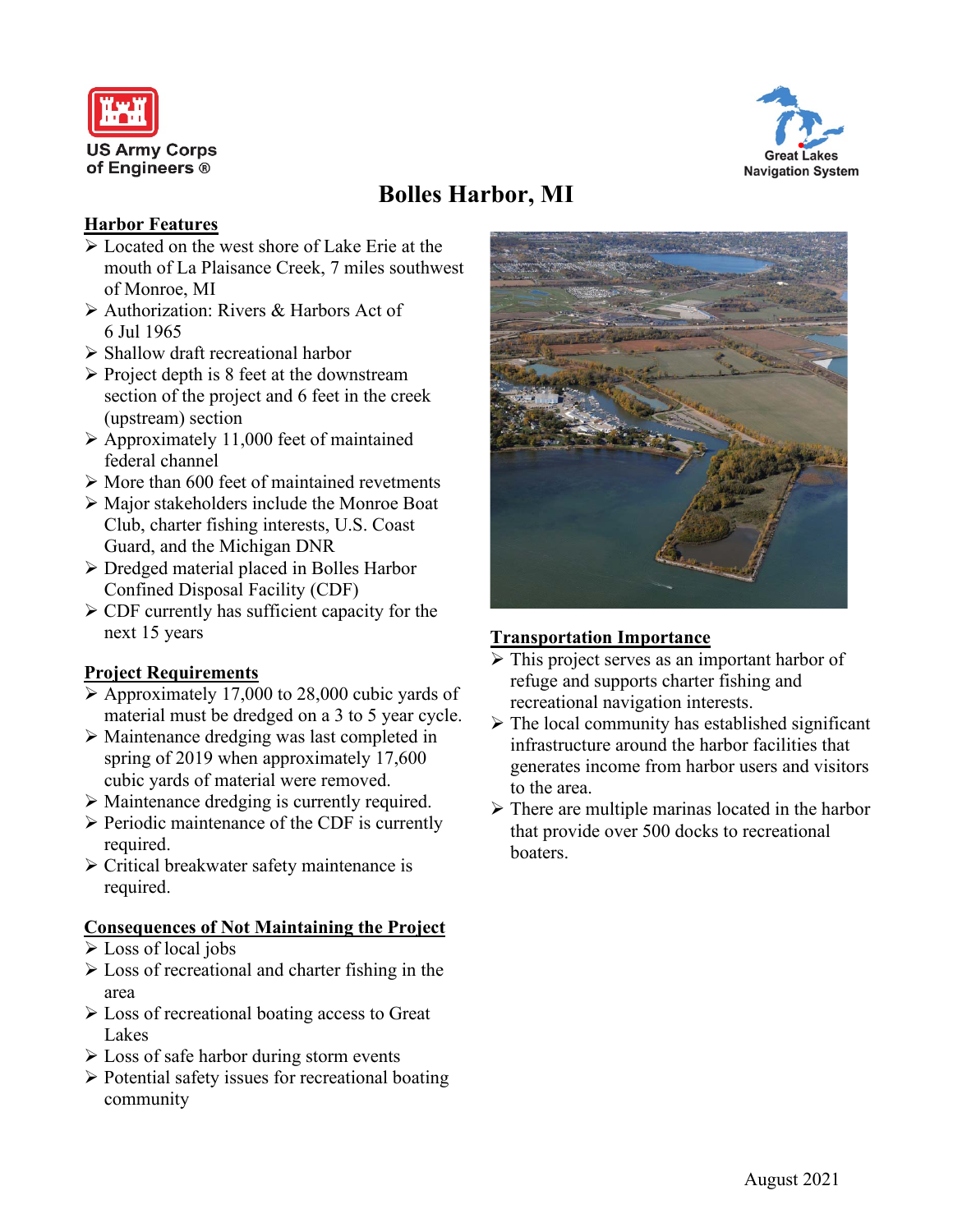



# **Bolles Harbor, MI**

### **Harbor Features**

- $\triangleright$  Located on the west shore of Lake Erie at the mouth of La Plaisance Creek, 7 miles southwest of Monroe, MI
- Authorization: Rivers & Harbors Act of 6 Jul 1965
- $\triangleright$  Shallow draft recreational harbor
- $\triangleright$  Project depth is 8 feet at the downstream section of the project and 6 feet in the creek (upstream) section
- $\triangleright$  Approximately 11,000 feet of maintained federal channel
- $\triangleright$  More than 600 feet of maintained revetments
- Major stakeholders include the Monroe Boat Club, charter fishing interests, U.S. Coast Guard, and the Michigan DNR
- Dredged material placed in Bolles Harbor Confined Disposal Facility (CDF)
- $\triangleright$  CDF currently has sufficient capacity for the next 15 years

## **Project Requirements**

- $\triangleright$  Approximately 17,000 to 28,000 cubic yards of material must be dredged on a 3 to 5 year cycle.
- Maintenance dredging was last completed in spring of 2019 when approximately 17,600 cubic yards of material were removed.
- Maintenance dredging is currently required.
- $\triangleright$  Periodic maintenance of the CDF is currently required.
- Critical breakwater safety maintenance is required.

## **Consequences of Not Maintaining the Project**

- Loss of local jobs
- $\triangleright$  Loss of recreational and charter fishing in the area
- $\triangleright$  Loss of recreational boating access to Great Lakes
- $\triangleright$  Loss of safe harbor during storm events
- $\triangleright$  Potential safety issues for recreational boating community



## **Transportation Importance**

- $\triangleright$  This project serves as an important harbor of refuge and supports charter fishing and recreational navigation interests.
- $\triangleright$  The local community has established significant infrastructure around the harbor facilities that generates income from harbor users and visitors to the area.
- $\triangleright$  There are multiple marinas located in the harbor that provide over 500 docks to recreational boaters.